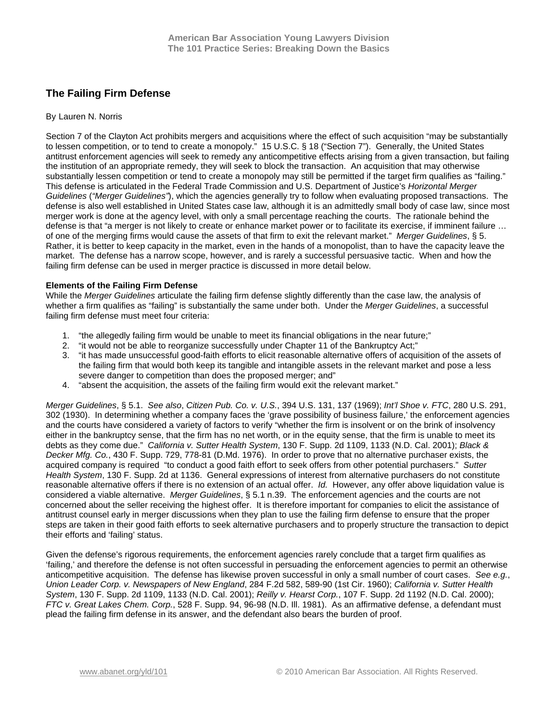# **The Failing Firm Defense**

## By Lauren N. Norris

Section 7 of the Clayton Act prohibits mergers and acquisitions where the effect of such acquisition "may be substantially to lessen competition, or to tend to create a monopoly." 15 U.S.C. § 18 ("Section 7"). Generally, the United States antitrust enforcement agencies will seek to remedy any anticompetitive effects arising from a given transaction, but failing the institution of an appropriate remedy, they will seek to block the transaction. An acquisition that may otherwise substantially lessen competition or tend to create a monopoly may still be permitted if the target firm qualifies as "failing." This defense is articulated in the Federal Trade Commission and U.S. Department of Justice's *Horizontal Merger Guidelines* (*"Merger Guidelines"*), which the agencies generally try to follow when evaluating proposed transactions. The defense is also well established in United States case law, although it is an admittedly small body of case law, since most merger work is done at the agency level, with only a small percentage reaching the courts. The rationale behind the defense is that "a merger is not likely to create or enhance market power or to facilitate its exercise, if imminent failure … of one of the merging firms would cause the assets of that firm to exit the relevant market." *Merger Guidelines*, § 5. Rather, it is better to keep capacity in the market, even in the hands of a monopolist, than to have the capacity leave the market. The defense has a narrow scope, however, and is rarely a successful persuasive tactic. When and how the failing firm defense can be used in merger practice is discussed in more detail below.

## **Elements of the Failing Firm Defense**

While the *Merger Guidelines* articulate the failing firm defense slightly differently than the case law, the analysis of whether a firm qualifies as "failing" is substantially the same under both. Under the *Merger Guidelines*, a successful failing firm defense must meet four criteria:

- 1. "the allegedly failing firm would be unable to meet its financial obligations in the near future;"
- 2. "it would not be able to reorganize successfully under Chapter 11 of the Bankruptcy Act;"
- 3. "it has made unsuccessful good-faith efforts to elicit reasonable alternative offers of acquisition of the assets of the failing firm that would both keep its tangible and intangible assets in the relevant market and pose a less severe danger to competition than does the proposed merger; and"
- 4. "absent the acquisition, the assets of the failing firm would exit the relevant market."

*Merger Guidelines*, § 5.1. *See also*, *Citizen Pub. Co. v. U.S.*, 394 U.S. 131, 137 (1969); *Int'l Shoe v. FTC*, 280 U.S. 291, 302 (1930). In determining whether a company faces the 'grave possibility of business failure,' the enforcement agencies and the courts have considered a variety of factors to verify "whether the firm is insolvent or on the brink of insolvency either in the bankruptcy sense, that the firm has no net worth, or in the equity sense, that the firm is unable to meet its debts as they come due." *California v. Sutter Health System*, 130 F. Supp. 2d 1109, 1133 (N.D. Cal. 2001); *Black & Decker Mfg. Co.*, 430 F. Supp. 729, 778-81 (D.Md. 1976). In order to prove that no alternative purchaser exists, the acquired company is required "to conduct a good faith effort to seek offers from other potential purchasers." *Sutter Health System*, 130 F. Supp. 2d at 1136. General expressions of interest from alternative purchasers do not constitute reasonable alternative offers if there is no extension of an actual offer. *Id.* However, any offer above liquidation value is considered a viable alternative. *Merger Guidelines*, § 5.1 n.39. The enforcement agencies and the courts are not concerned about the seller receiving the highest offer. It is therefore important for companies to elicit the assistance of antitrust counsel early in merger discussions when they plan to use the failing firm defense to ensure that the proper steps are taken in their good faith efforts to seek alternative purchasers and to properly structure the transaction to depict their efforts and 'failing' status.

Given the defense's rigorous requirements, the enforcement agencies rarely conclude that a target firm qualifies as 'failing,' and therefore the defense is not often successful in persuading the enforcement agencies to permit an otherwise anticompetitive acquisition. The defense has likewise proven successful in only a small number of court cases. *See e.g.*, *Union Leader Corp. v. Newspapers of New England*, 284 F.2d 582, 589-90 (1st Cir. 1960); *California v. Sutter Health System*, 130 F. Supp. 2d 1109, 1133 (N.D. Cal. 2001); *Reilly v. Hearst Corp.*, 107 F. Supp. 2d 1192 (N.D. Cal. 2000); *FTC v. Great Lakes Chem. Corp.*, 528 F. Supp. 94, 96-98 (N.D. Ill. 1981). As an affirmative defense, a defendant must plead the failing firm defense in its answer, and the defendant also bears the burden of proof.